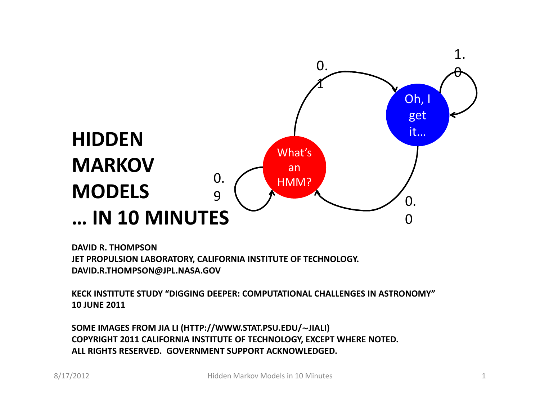

**DAVID R. THOMPSON JET PROPULSION LABORATORY, CALIFORNIA INSTITUTE OF TECHNOLOGY. DAVID.R.THOMPSON@JPL.NASA.GOV**

**KECK INSTITUTE STUDY "DIGGING DEEPER: COMPUTATIONAL CHALLENGES IN ASTRONOMY" 10 JUNE 2011**

**SOME IMAGES FROM JIA LI (HTTP://WWW.STAT.PSU.EDU/**∼**JIALI) COPYRIGHT 2011 CALIFORNIA INSTITUTE OF TECHNOLOGY, EXCEPT WHERE NOTED. ALL RIGHTS RESERVED. GOVERNMENT SUPPORT ACKNOWLEDGED.**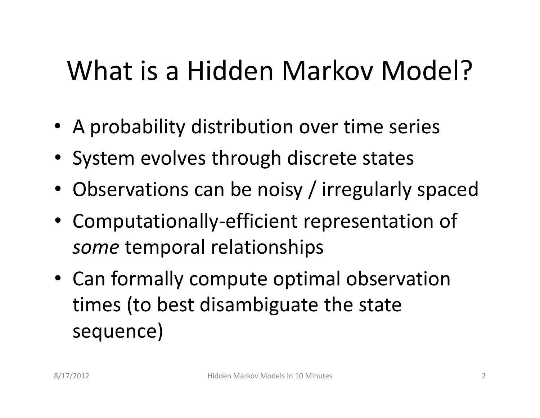# What is a Hidden Markov Model?

- A probability distribution over time series
- System evolves through discrete states
- Observations can be noisy / irregularly spaced
- Computationally‐efficient representation of *some* temporal relationships
- Can formally compute optimal observation times (to best disambiguate the state sequence)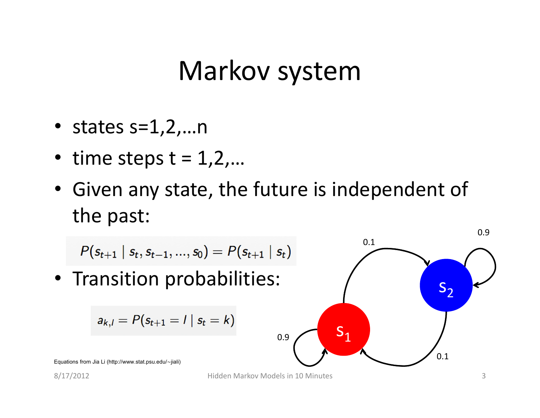## Markov system

- states  $s=1,2,...n$
- time steps  $t = 1, 2, ...$
- Given any state, the future is independent of the past:

$$
P(s_{t+1} | s_t, s_{t-1}, ..., s_0) = P(s_{t+1} | s_t)
$$
\n• Transition probabilities:\n

| $a_{k,l} = P(s_{t+1} = l   s_t = k)$ | 0.9 |
|--------------------------------------|-----|
| $a_{k,l} = P(s_{t+1} = l   s_t = k)$ | 0.9 |
| $S_1$                                | 0.1 |
| $S_2$                                | 0.2 |

8/17/2012 Hidden Markov Models in 10 Minutes 3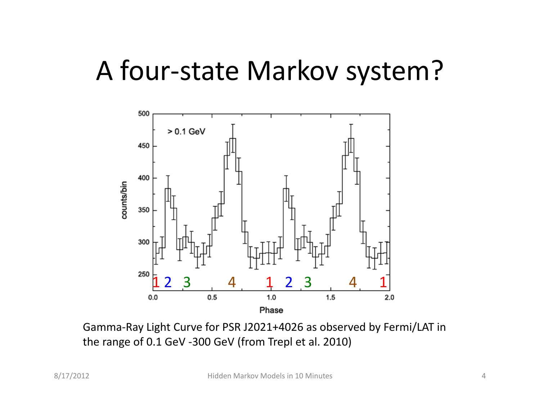## A four‐state Markov system?



Gamma‐Ray Light Curve for PSR J2021+4026 as observed by Fermi/LAT in the range of 0.1 GeV ‐300 GeV (from Trepl et al. 2010)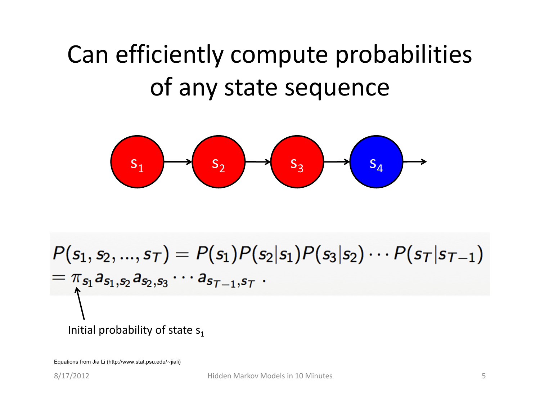## Can efficiently compute probabilities of any state sequence



$$
P(s_1, s_2, ..., s_{\tau}) = P(s_1)P(s_2|s_1)P(s_3|s_2) \cdots P(s_{\tau}|s_{\tau-1})
$$
  
=  $\pi_{s_1}a_{s_1, s_2}a_{s_2, s_3} \cdots a_{s_{\tau-1}, s_{\tau}}$ .

#### Initial probability of state  $s_1$

Equations from Jia Li (http://www.stat.psu.edu/∼jiali)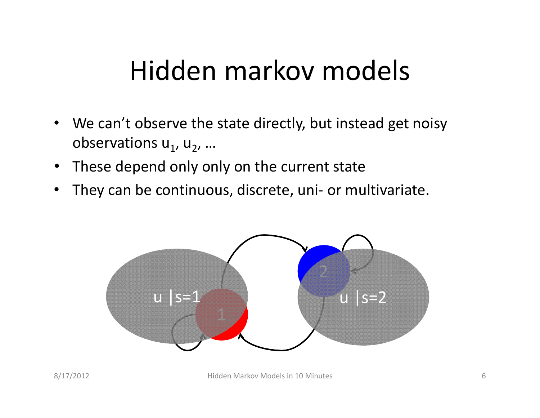# Hidden markov models

- We can't observe the state directly, but instead get noisy observations  $u_1$ ,  $u_2$ , ...
- These depend only only on the current state
- They can be continuous, discrete, uni- or multivariate.

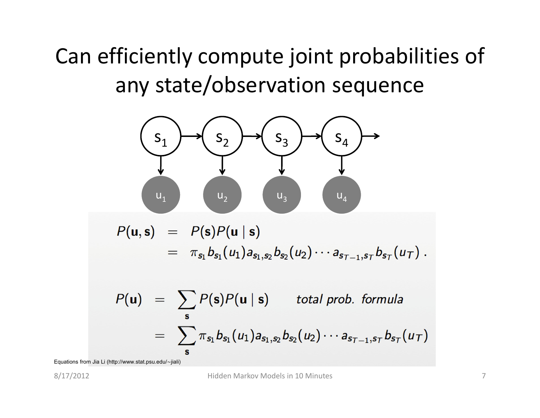Can efficiently compute joint probabilities of any state/observation sequence



 $P(u, s) = P(s)P(u | s)$  $= \pi_{s_1} b_{s_1}(u_1) a_{s_1,s_2} b_{s_2}(u_2) \cdots a_{s_{T-1},s_T} b_{s_T}(u_T).$ 

$$
P(\mathbf{u}) = \sum_{\mathbf{s}} P(\mathbf{s}) P(\mathbf{u} \mid \mathbf{s}) \quad \text{total prob. formula}
$$
  
= 
$$
\sum_{\mathbf{s}} \pi_{s_1} b_{s_1}(u_1) a_{s_1, s_2} b_{s_2}(u_2) \cdots a_{s_{T-1}, s_T} b_{s_T}(u_T)
$$

Equations from Jia Li (http://www.stat.psu.edu/∼jiali)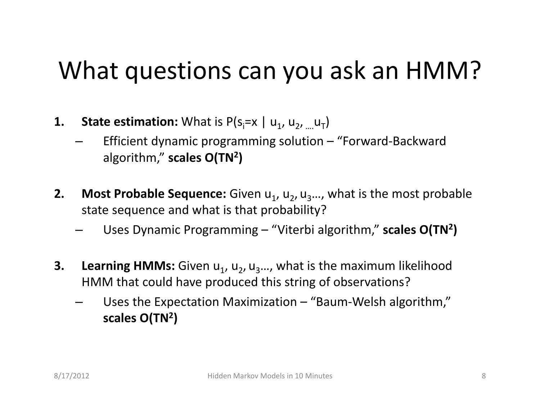## What questions can you ask an HMM?

- **1.** State estimation: What is  $P(s_i=x \mid u_1, u_2, ... u_T)$ 
	- Efficient dynamic programming solution "Forward‐Backward algorithm," **scales O(TN2)**
- **2.** Most Probable Sequence: Given u<sub>1</sub>, u<sub>2</sub>, u<sub>3</sub>..., what is the most probable state sequence and what is that probability?
	- Uses Dynamic Programming "Viterbi algorithm," **scales O(TN2)**
- **3. Learning HMMs:** Given  $u_1$ ,  $u_2$ ,  $u_3$ …, what is the maximum likelihood HMM that could have produced this string of observations?
	- Uses the Expectation Maximization "Baum-Welsh algorithm," **scales O(TN2)**